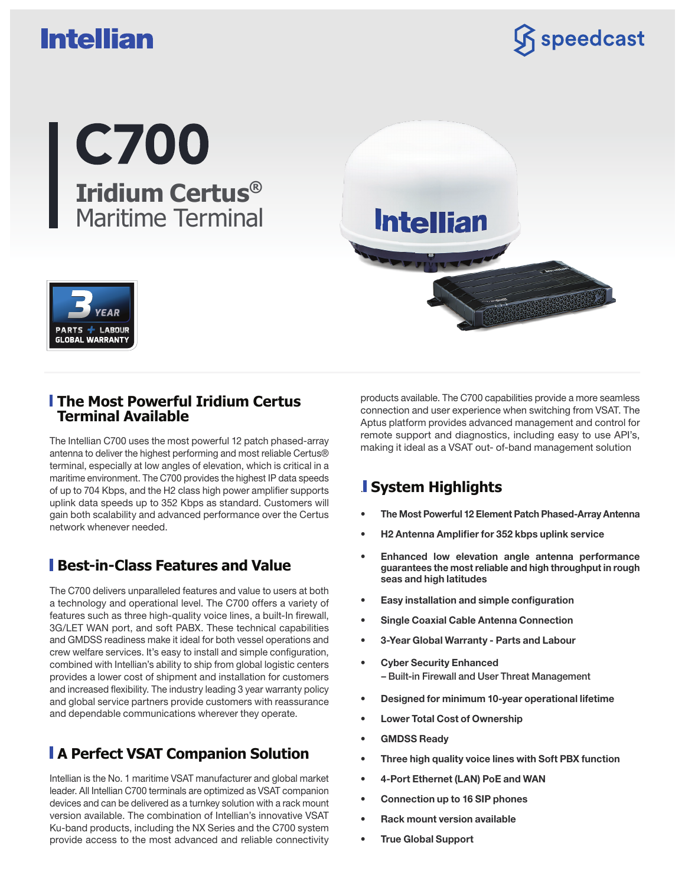# **Intellian**

 $\mathcal{\widehat{S}}$  speedcast



products available. The C700 capabilities provide a more seamless connection and user experience when switching from VSAT. The Aptus platform provides advanced management and control for remote support and diagnostics, including easy to use API's, making it ideal as a VSAT out- of-band management solution

### . **System Highlights**

**Intellian** 

- The Most Powerful 12 Element Patch Phased-Array Antenna
- H2 Antenna Amplifier for 352 kbps uplink service
- Enhanced low elevation angle antenna performance guarantees the most reliable and high throughput in rough seas and high latitudes
- Easy installation and simple configuration
- Single Coaxial Cable Antenna Connection
- 3-Year Global Warranty Parts and Labour
- Cyber Security Enhanced – Built-in Firewall and User Threat Management
- Designed for minimum 10-year operational lifetime
- Lower Total Cost of Ownership
- GMDSS Ready
- Three high quality voice lines with Soft PBX function
- 4-Port Ethernet (LAN) PoE and WAN
- Connection up to 16 SIP phones
- Rack mount version available
- True Global Support

PARTS  $+$ **LABOUR GLOBAL WARRANTY** 

#### **The Most Powerful Iridium Certus Terminal Available**

The Intellian C700 uses the most powerful 12 patch phased-array antenna to deliver the highest performing and most reliable Certus® terminal, especially at low angles of elevation, which is critical in a maritime environment. The C700 provides the highest IP data speeds of up to 704 Kbps, and the H2 class high power amplifier supports uplink data speeds up to 352 Kbps as standard. Customers will gain both scalability and advanced performance over the Certus network whenever needed.

### **Best-in-Class Features and Value**

The C700 delivers unparalleled features and value to users at both a technology and operational level. The C700 offers a variety of features such as three high-quality voice lines, a built-In firewall, 3G/LET WAN port, and soft PABX. These technical capabilities and GMDSS readiness make it ideal for both vessel operations and crew welfare services. It's easy to install and simple configuration, combined with Intellian's ability to ship from global logistic centers provides a lower cost of shipment and installation for customers and increased flexibility. The industry leading 3 year warranty policy and global service partners provide customers with reassurance and dependable communications wherever they operate.

# **A Perfect VSAT Companion Solution**

Intellian is the No. 1 maritime VSAT manufacturer and global market leader. All Intellian C700 terminals are optimized as VSAT companion devices and can be delivered as a turnkey solution with a rack mount version available. The combination of Intellian's innovative VSAT Ku-band products, including the NX Series and the C700 system provide access to the most advanced and reliable connectivity